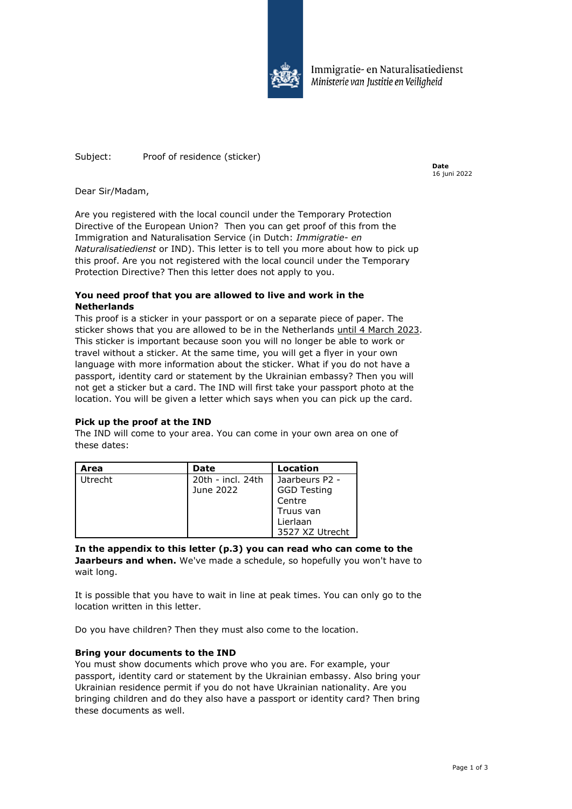

Immigratie- en Naturalisatiedienst Ministerie van Justitie en Veiligheid

Subject: Proof of residence (sticker)

**Date** 16 juni 2022

Dear Sir/Madam,

Are you registered with the local council under the Temporary Protection Directive of the European Union? Then you can get proof of this from the Immigration and Naturalisation Service (in Dutch: *Immigratie- en Naturalisatiedienst* or IND). This letter is to tell you more about how to pick up this proof. Are you not registered with the local council under the Temporary Protection Directive? Then this letter does not apply to you.

# **You need proof that you are allowed to live and work in the Netherlands**

This proof is a sticker in your passport or on a separate piece of paper. The sticker shows that you are allowed to be in the Netherlands until 4 March 2023. This sticker is important because soon you will no longer be able to work or travel without a sticker. At the same time, you will get a flyer in your own language with more information about the sticker. What if you do not have a passport, identity card or statement by the Ukrainian embassy? Then you will not get a sticker but a card. The IND will first take your passport photo at the location. You will be given a letter which says when you can pick up the card.

# **Pick up the proof at the IND**

The IND will come to your area. You can come in your own area on one of these dates:

| Area    | Date              | Location           |
|---------|-------------------|--------------------|
| Utrecht | 20th - incl. 24th | Jaarbeurs P2 -     |
|         | June 2022         | <b>GGD Testing</b> |
|         |                   | Centre             |
|         |                   | Truus van          |
|         |                   | Lierlaan           |
|         |                   | 3527 XZ Utrecht    |

**In the appendix to this letter (p.3) you can read who can come to the Jaarbeurs and when.** We've made a schedule, so hopefully you won't have to wait long.

It is possible that you have to wait in line at peak times. You can only go to the location written in this letter.

Do you have children? Then they must also come to the location.

# **Bring your documents to the IND**

You must show documents which prove who you are. For example, your passport, identity card or statement by the Ukrainian embassy. Also bring your Ukrainian residence permit if you do not have Ukrainian nationality. Are you bringing children and do they also have a passport or identity card? Then bring these documents as well.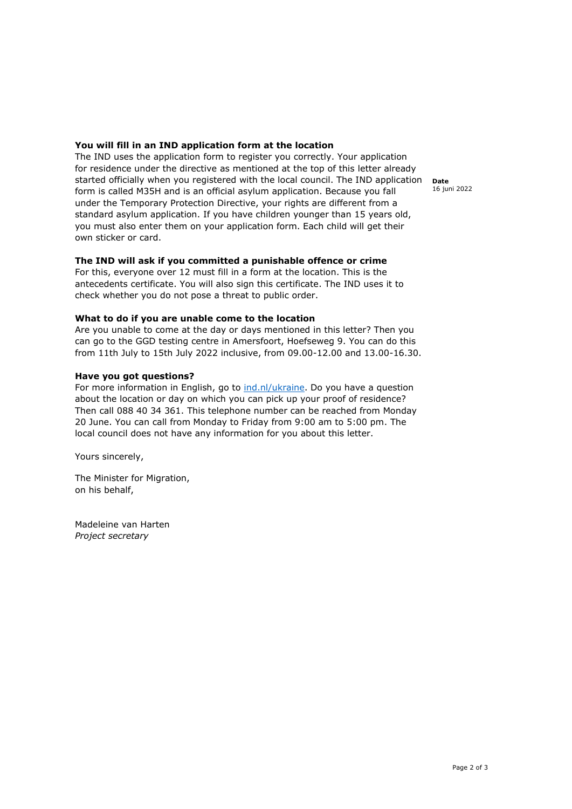## **You will fill in an IND application form at the location**

The IND uses the application form to register you correctly. Your application for residence under the directive as mentioned at the top of this letter already started officially when you registered with the local council. The IND application form is called M35H and is an official asylum application. Because you fall under the Temporary Protection Directive, your rights are different from a standard asylum application. If you have children younger than 15 years old, you must also enter them on your application form. Each child will get their own sticker or card.

## **The IND will ask if you committed a punishable offence or crime**

For this, everyone over 12 must fill in a form at the location. This is the antecedents certificate. You will also sign this certificate. The IND uses it to check whether you do not pose a threat to public order.

### **What to do if you are unable come to the location**

Are you unable to come at the day or days mentioned in this letter? Then you can go to the GGD testing centre in Amersfoort, Hoefseweg 9. You can do this from 11th July to 15th July 2022 inclusive, from 09.00-12.00 and 13.00-16.30.

## **Have you got questions?**

For more information in English, go to [ind.nl/ukraine.](https://www.ind.nl/en/ukraine) Do you have a question about the location or day on which you can pick up your proof of residence? Then call 088 40 34 361. This telephone number can be reached from Monday 20 June. You can call from Monday to Friday from 9:00 am to 5:00 pm. The local council does not have any information for you about this letter.

Yours sincerely,

The Minister for Migration, on his behalf,

Madeleine van Harten *Project secretary* 

**Date** 16 juni 2022